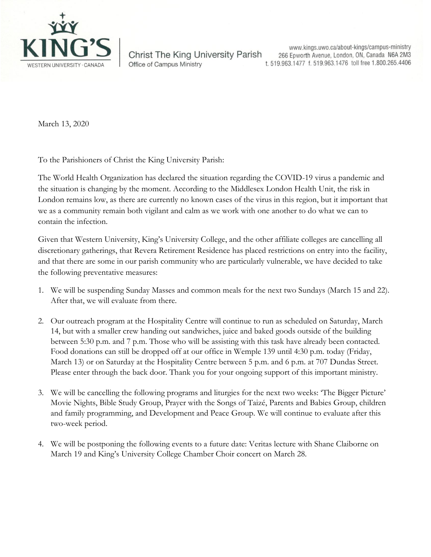

**Christ The King University Parish** Office of Campus Ministry

www.kings.uwo.ca/about-kings/campus-ministry 266 Epworth Avenue, London, ON, Canada N6A 2M3 t. 519.963.1477 f. 519.963.1476 toll free 1.800.265.4406

March 13, 2020

To the Parishioners of Christ the King University Parish:

The World Health Organization has declared the situation regarding the COVID-19 virus a pandemic and the situation is changing by the moment. According to the Middlesex London Health Unit, the risk in London remains low, as there are currently no known cases of the virus in this region, but it important that we as a community remain both vigilant and calm as we work with one another to do what we can to contain the infection.

Given that Western University, King's University College, and the other affiliate colleges are cancelling all discretionary gatherings, that Revera Retirement Residence has placed restrictions on entry into the facility, and that there are some in our parish community who are particularly vulnerable, we have decided to take the following preventative measures:

- 1. We will be suspending Sunday Masses and common meals for the next two Sundays (March 15 and 22). After that, we will evaluate from there.
- 2. Our outreach program at the Hospitality Centre will continue to run as scheduled on Saturday, March 14, but with a smaller crew handing out sandwiches, juice and baked goods outside of the building between 5:30 p.m. and 7 p.m. Those who will be assisting with this task have already been contacted. Food donations can still be dropped off at our office in Wemple 139 until 4:30 p.m. today (Friday, March 13) or on Saturday at the Hospitality Centre between 5 p.m. and 6 p.m. at 707 Dundas Street. Please enter through the back door. Thank you for your ongoing support of this important ministry.
- 3. We will be cancelling the following programs and liturgies for the next two weeks: 'The Bigger Picture' Movie Nights, Bible Study Group, Prayer with the Songs of Taizé, Parents and Babies Group, children and family programming, and Development and Peace Group. We will continue to evaluate after this two-week period.
- 4. We will be postponing the following events to a future date: Veritas lecture with Shane Claiborne on March 19 and King's University College Chamber Choir concert on March 28.